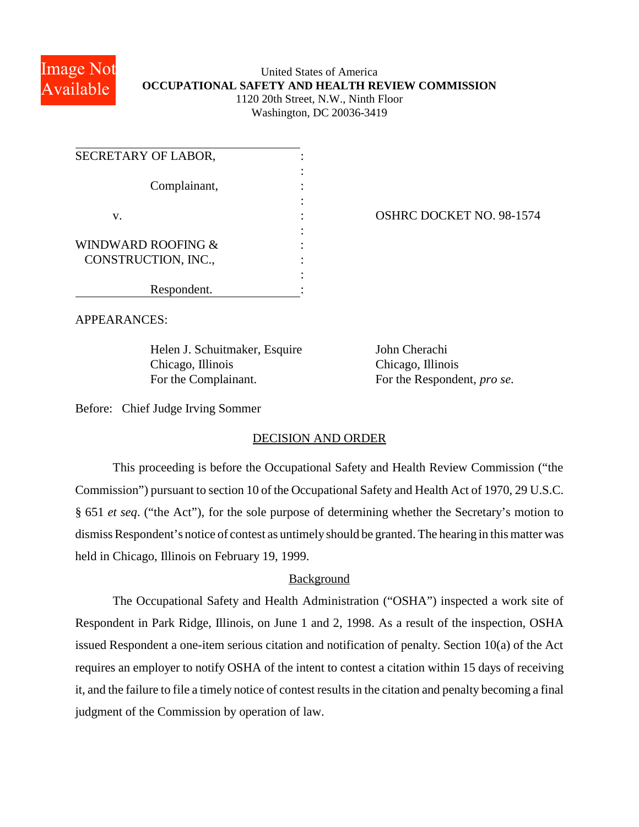

## United States of America **OCCUPATIONAL SAFETY AND HEALTH REVIEW COMMISSION** 1120 20th Street, N.W., Ninth Floor

Washington, DC 20036-3419

| SECRETARY OF LABOR, |  |
|---------------------|--|
| Complainant,        |  |
| V.                  |  |
|                     |  |
| WINDWARD ROOFING &  |  |
| CONSTRUCTION, INC., |  |
|                     |  |
| Respondent.         |  |

OSHRC DOCKET NO. 98-1574

APPEARANCES:

Helen J. Schuitmaker, Esquire John Cherachi Chicago, Illinois Chicago, Illinois For the Complainant. For the Respondent, *pro se*.

Before: Chief Judge Irving Sommer

## DECISION AND ORDER

This proceeding is before the Occupational Safety and Health Review Commission ("the Commission") pursuant to section 10 of the Occupational Safety and Health Act of 1970, 29 U.S.C. § 651 *et seq*. ("the Act"), for the sole purpose of determining whether the Secretary's motion to dismiss Respondent's notice of contest as untimely should be granted. The hearing in this matter was held in Chicago, Illinois on February 19, 1999.

## Background

The Occupational Safety and Health Administration ("OSHA") inspected a work site of Respondent in Park Ridge, Illinois, on June 1 and 2, 1998. As a result of the inspection, OSHA issued Respondent a one-item serious citation and notification of penalty. Section 10(a) of the Act requires an employer to notify OSHA of the intent to contest a citation within 15 days of receiving it, and the failure to file a timely notice of contest results in the citation and penalty becoming a final judgment of the Commission by operation of law.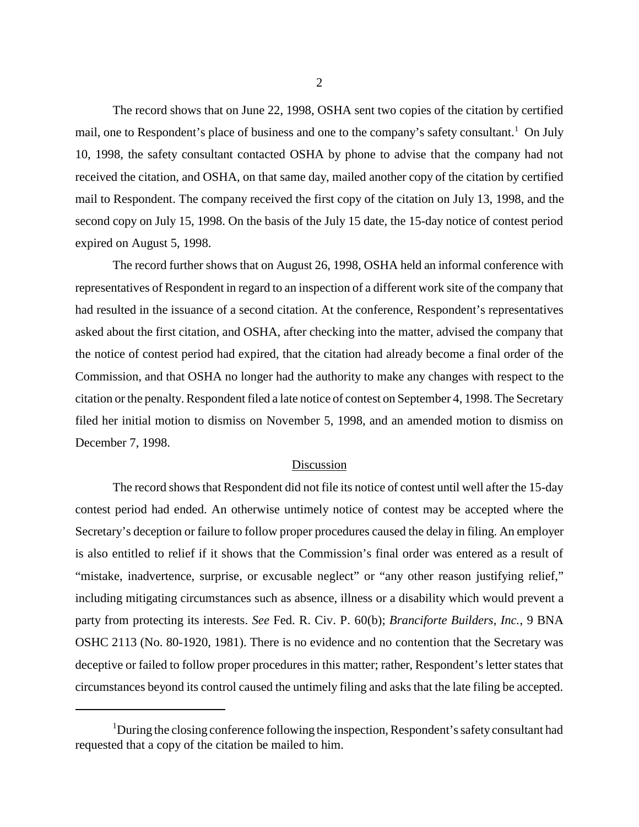The record shows that on June 22, 1998, OSHA sent two copies of the citation by certified mail, one to Respondent's place of business and one to the company's safety consultant.<sup>1</sup> On July 10, 1998, the safety consultant contacted OSHA by phone to advise that the company had not received the citation, and OSHA, on that same day, mailed another copy of the citation by certified mail to Respondent. The company received the first copy of the citation on July 13, 1998, and the second copy on July 15, 1998. On the basis of the July 15 date, the 15-day notice of contest period expired on August 5, 1998.

The record further shows that on August 26, 1998, OSHA held an informal conference with representatives of Respondent in regard to an inspection of a different work site of the company that had resulted in the issuance of a second citation. At the conference, Respondent's representatives asked about the first citation, and OSHA, after checking into the matter, advised the company that the notice of contest period had expired, that the citation had already become a final order of the Commission, and that OSHA no longer had the authority to make any changes with respect to the citation or the penalty. Respondent filed a late notice of contest on September 4, 1998. The Secretary filed her initial motion to dismiss on November 5, 1998, and an amended motion to dismiss on December 7, 1998.

## Discussion

The record shows that Respondent did not file its notice of contest until well after the 15-day contest period had ended. An otherwise untimely notice of contest may be accepted where the Secretary's deception or failure to follow proper procedures caused the delay in filing. An employer is also entitled to relief if it shows that the Commission's final order was entered as a result of "mistake, inadvertence, surprise, or excusable neglect" or "any other reason justifying relief," including mitigating circumstances such as absence, illness or a disability which would prevent a party from protecting its interests. *See* Fed. R. Civ. P. 60(b); *Branciforte Builders, Inc.*, 9 BNA OSHC 2113 (No. 80-1920, 1981). There is no evidence and no contention that the Secretary was deceptive or failed to follow proper procedures in this matter; rather, Respondent's letter states that circumstances beyond its control caused the untimely filing and asks that the late filing be accepted.

<sup>&</sup>lt;sup>1</sup>During the closing conference following the inspection, Respondent's safety consultant had requested that a copy of the citation be mailed to him.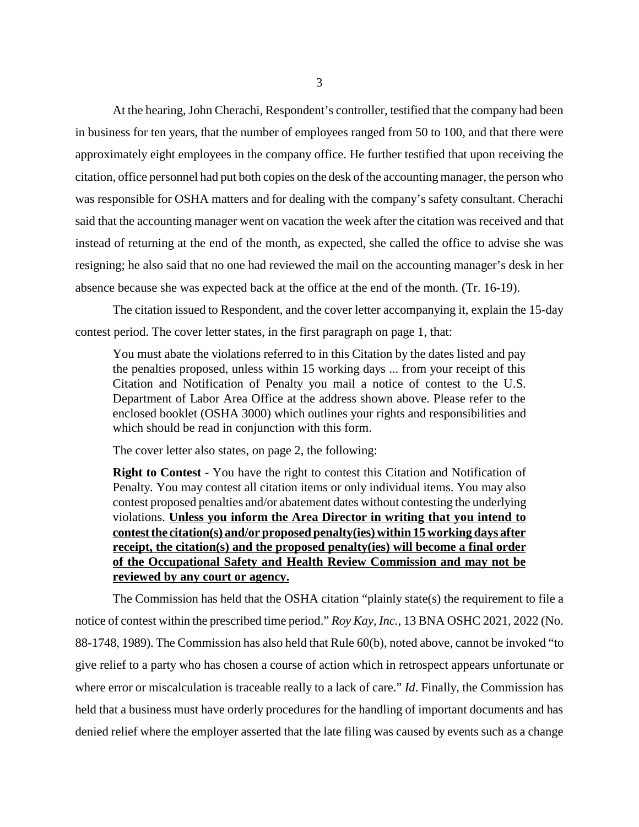At the hearing, John Cherachi, Respondent's controller, testified that the company had been in business for ten years, that the number of employees ranged from 50 to 100, and that there were approximately eight employees in the company office. He further testified that upon receiving the citation, office personnel had put both copies on the desk of the accounting manager, the person who was responsible for OSHA matters and for dealing with the company's safety consultant. Cherachi said that the accounting manager went on vacation the week after the citation was received and that instead of returning at the end of the month, as expected, she called the office to advise she was resigning; he also said that no one had reviewed the mail on the accounting manager's desk in her absence because she was expected back at the office at the end of the month. (Tr. 16-19).

The citation issued to Respondent, and the cover letter accompanying it, explain the 15-day contest period. The cover letter states, in the first paragraph on page 1, that:

You must abate the violations referred to in this Citation by the dates listed and pay the penalties proposed, unless within 15 working days ... from your receipt of this Citation and Notification of Penalty you mail a notice of contest to the U.S. Department of Labor Area Office at the address shown above. Please refer to the enclosed booklet (OSHA 3000) which outlines your rights and responsibilities and which should be read in conjunction with this form.

The cover letter also states, on page 2, the following:

**Right to Contest** - You have the right to contest this Citation and Notification of Penalty. You may contest all citation items or only individual items. You may also contest proposed penalties and/or abatement dates without contesting the underlying violations. **Unless you inform the Area Director in writing that you intend to contest the citation(s) and/or proposed penalty(ies) within 15 working days after receipt, the citation(s) and the proposed penalty(ies) will become a final order of the Occupational Safety and Health Review Commission and may not be reviewed by any court or agency.**

The Commission has held that the OSHA citation "plainly state(s) the requirement to file a notice of contest within the prescribed time period." *Roy Kay, Inc.*, 13 BNA OSHC 2021, 2022 (No. 88-1748, 1989). The Commission has also held that Rule 60(b), noted above, cannot be invoked "to give relief to a party who has chosen a course of action which in retrospect appears unfortunate or where error or miscalculation is traceable really to a lack of care." *Id*. Finally, the Commission has held that a business must have orderly procedures for the handling of important documents and has denied relief where the employer asserted that the late filing was caused by events such as a change